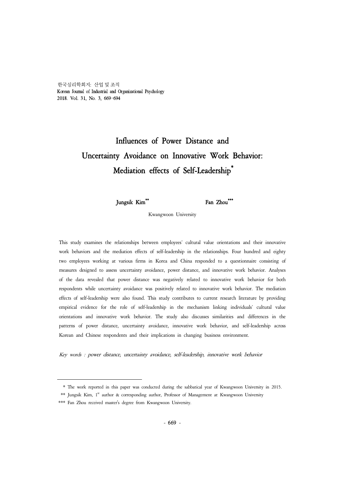한국심리학회지: 산업 및 조직 Korean Journal of Industrial and Organizational Psychology 2018. Vol. 31, No. 3, 669-694

# Influences of Power Distance and Uncertainty Avoidance on Innovative Work Behavior: Mediation effects of Self-Leadership\*

Jungsik Kim\*\* Fan Zhou\*\*\*

Kwangwoon University

This study examines the relationships between employees' cultural value orientations and their innovative work behaviors and the mediation effects of self-leadership in the relationships. Four hundred and eighty two employees working at various firms in Korea and China responded to a questionnaire consisting of measures designed to assess uncertainty avoidance, power distance, and innovative work behavior. Analyses of the data revealed that power distance was negatively related to innovative work behavior for both respondents while uncertainty avoidance was positively related to innovative work behavior. The mediation effects of self-leadership were also found. This study contributes to current research literature by providing empirical evidence for the role of self-leadership in the mechanism linking individuals' cultural value orientations and innovative work behavior. The study also discusses similarities and differences in the patterns of power distance, uncertainty avoidance, innovative work behavior, and self-leadership across Korean and Chinese respondents and their implications in changing business environment.

Key words : power distance, uncertainty avoidance, self-leadership, innovative work behavior

 <sup>\*</sup> The work reported in this paper was conducted during the sabbatical year of Kwangwoon University in 2015.

<sup>\*\*</sup> Jungsik Kim, 1<sup>st</sup> author & corresponding author, Professor of Management at Kwangwoon University

<sup>\*\*\*</sup> Fan Zhou received master's degree from Kwangwoon University.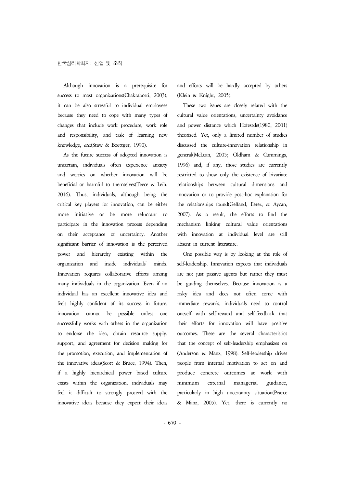Although innovation is a prerequisite for success to most organizations(Chakraborti, 2003), it can be also stressful to individual employees because they need to cope with many types of changes that include work procedure, work role and responsibility, and task of learning new knowledge, etc.(Staw & Boettger, 1990).

As the future success of adopted innovation is uncertain, individuals often experience anxiety and worries on whether innovation will be beneficial or harmful to themselves(Teece & Leih, 2016). Thus, individuals, although being the critical key players for innovation, can be either more initiative or be more reluctant to participate in the innovation process depending on their acceptance of uncertainty. Another significant barrier of innovation is the perceived power and hierarchy existing within the organization and inside individuals' minds. Innovation requires collaborative efforts among many individuals in the organization. Even if an individual has an excellent innovative idea and feels highly confident of its success in future, innovation cannot be possible unless one successfully works with others in the organization to endorse the idea, obtain resource supply, support, and agreement for decision making for the promotion, execution, and implementation of the innovative ideas(Scott & Bruce, 1994). Then, if a highly hierarchical power based culture exists within the organization, individuals may feel it difficult to strongly proceed with the innovative ideas because they expect their ideas

and efforts will be hardly accepted by others (Klein & Knight, 2005).

These two issues are closely related with the cultural value orientations, uncertainty avoidance and power distance which Hofestde(1980, 2001) theorized. Yet, only a limited number of studies discussed the culture-innovation relationship in general(McLean, 2005; Oldham & Cummings, 1996) and, if any, those studies are currently restricted to show only the existence of bivariate relationships between cultural dimensions and innovation or to provide post-hoc explanation for the relationships found(Gelfand, Eerez, & Aycan, 2007). As a result, the efforts to find the mechanism linking cultural value orientations with innovation at individual level are still absent in current literature.

One possible way is by looking at the role of are not just passive agents but rather they must be guiding themselves. Because innovation is a immediate rewards, individuals need to control oneself with self-reward and self-feedback that their efforts for innovation will have positive outcomes. These are the several characteristics that the concept of self-leadership emphasizes on (Anderson & Manz, 1998). Self-leadership drives people from internal motivation to act on and produce concrete outcomes at work with external managerial guidance, particularly in high uncertainty situation(Pearce & Manz, 2005). Yet, there is currently no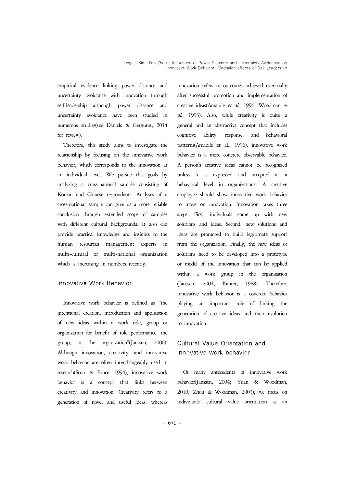empirical evidence linking power distance and uncertainty avoidance with innovation through self-leadership although power distance and uncertainty avoidance have been studied in numerous studies(see Daniels & Gerguras, 2014 general and an abstractive concept that includes for review).

Therefore, this study aims to investigate the relationship by focusing on the innovative work behavior, which corresponds to the innovation at A person's creative ideas cannot be recognized<br>an individual level. We pursue this goals by unless it is expressed and accepted at a analyzing a cross-national sample consisting of Korean and Chinese respondents. Analyses of a cross-national sample can give us a more reliable conclusion through extended scope of samples with different cultural backgrounds. It also can provide practical knowledge and insights to the human resources management experts in multi-cultural or multi-national organization which is increasing in numbers recently.

## Innovative Work Behavior

Innovative work behavior is defined as "the intentional creation, introduction and application of new ideas within a work role, group or organization for benefit of role performance, the group, or the organization"(Janssen, 2000). Although innovation, creativity, and innovative work behavior are often interchangeably used in research(Scott & Bruce, 1994), innovative work behavior is a concept that links between creativity and innovation. Creativity refers to a generation of novel and useful ideas, whereas innovation refers to outcomes achieved eventually after successful promotion and implementation of creative ideas(Amabile et al., 1996; Woodman et al., 1993). Also, while creativity is quite a cognitive ability, response, and behavioral patterns(Amabile et al., 1996), innovative work behavior is a more concrete observable behavior. A person's creative ideas cannot be recognized behavioral level in organizations: A creative employee should show innovative work behavior to move on innovation. Innovation takes three steps. First, individuals come up with new solutions and ideas. Second, new solutions and ideas are promoted to build legitimate support from the organization. Finally, the new ideas or solutions need to be developed into a prototype or model of the innovation that can be applied within a work group in the organization (Janssen, 2004; Kanter, 1988). Therefore, innovative work behavior is a concrete behavior playing an important role of linking the generation of creative ideas and their evolution to innovation.

# Cultural Value Orientation and innovative work behavior

Of many antecedents of innovative work behavior(Janssen, 2004; Yuan & Woodman, 2010; Zhou & Woodman, 2003), we focus on individuals' cultural value orientation as an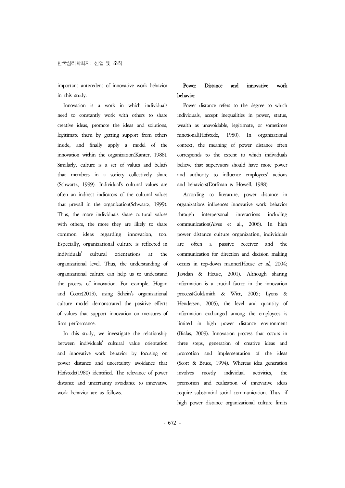important antecedent of innovative work behavior in this study.

Innovation is a work in which individuals need to constantly work with others to share creative ideas, promote the ideas and solutions, legitimate them by getting support from others inside, and finally apply a model of the innovation within the organization(Kanter, 1988). Similarly, culture is a set of values and beliefs that members in a society collectively share (Schwartz, 1999). Individual's cultural values are often an indirect indicators of the cultural values that prevail in the organization(Schwartz, 1999). Thus, the more individuals share cultural values through with others, the more they are likely to share common ideas regarding innovation, too. Especially, organizational culture is reflected in individuals' cultural orientations at the organizational level. Thus, the understanding of organizational culture can help us to understand the process of innovation. For example, Hogan and Coote(2013), using Schein's organizational culture model demonstrated the positive effects of values that support innovation on measures of firm performance.

In this study, we investigate the relationship between individuals' cultural value orientation and innovative work behavior by focusing on power distance and uncertainty avoidance that Hofstede(1980) identified. The relevance of power involves distance and uncertainty avoidance to innovative work behavior are as follows.

## Power Distance and innovative work behavior

Power distance refers to the degree to which individuals, accept inequalities in power, status, wealth as unavoidable, legitimate, or sometimes functional(Hofstede, 1980). In organizational context, the meaning of power distance often corresponds to the extent to which individuals believe that supervisors should have more power and authority to influence employees' actions and behaviors(Dorfman & Howell, 1988).

According to literature, power distance in organizations influences innovative work behavior interpersonal interactions including communication(Alves et al., 2006). In high power distance culture organization, individuals are often a passive receiver and the communication for direction and decision making occurs in top-down manner(House et al., 2004; Javidan & House, 2001). Although sharing information is a crucial factor in the innovation process(Goldsmith & Witt, 2005; Lyons & Hendersen, 2005), the level and quantity of information exchanged among the employees is limited in high power distance environment (Bialas, 2009). Innovation process that occurs in three steps, generation of creative ideas and promotion and implementation of the ideas (Scott & Bruce, 1994). Whereas idea generation mostly individual activities, the promotion and realization of innovative ideas require substantial social communication. Thus, if high power distance organizational culture limits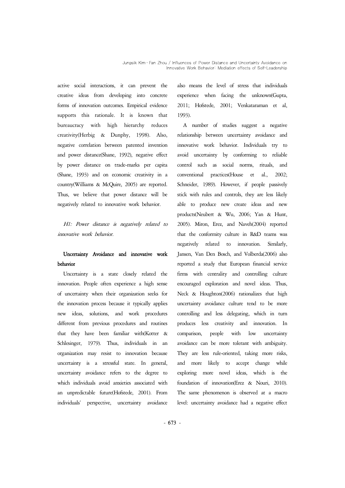active social interactions, it can prevent the creative ideas from developing into concrete forms of innovation outcomes. Empirical evidence supports this rationale. It is known that bureaucracy with high hierarchy reduces creativity(Herbig & Dunphy, 1998). Also, negative correlation between patented invention and power distance(Shane, 1992), negative effect by power distance on trade-marks per capita (Shane, 1993) and on economic creativity in a country(Williams & McQuire, 2005) are reported. Thus, we believe that power distance will be negatively related to innovative work behavior.

H1: Power distance is negatively related to innovative work behavior.

# Uncertainty Avoidance and innovative work behavior

Uncertainty is a state closely related the innovation. People often experience a high sense of uncertainty when their organization seeks for the innovation process because it typically applies new ideas, solutions, and work procedures different from previous procedures and routines that they have been familiar with(Kotter & Schlesinger, 1979). Thus, individuals in an organization may resist to innovation because uncertainty is a stressful state. In general, uncertainty avoidance refers to the degree to which individuals avoid anxieties associated with an unpredictable future(Hofstede, 2001). From individuals' perspective, uncertainty avoidance also means the level of stress that individuals experience when facing the unknown(Gupta, 2011; Hofstede, 2001; Venkataraman et al, 1993).

A number of studies suggest a negative relationship between uncertainty avoidance and innovative work behavior. Individuals try to avoid uncertainty by conforming to reliable control such as social norms, rituals, and conventional practices(House et al., 2002; Schneider, 1989). However, if people passively stick with rules and controls, they are less likely able to produce new create ideas and new products(Neubert & Wu, 2006; Yan & Hunt, 2005). Miron, Erez, and Naveh(2004) reported that the conformity culture in R&D teams was negatively related to innovation. Similarly, Jansen, Van Den Bosch, and Volberda(2006) also reported a study that European financial service firms with centrality and controlling culture encouraged exploration and novel ideas. Thus, Neck & Houghton(2006) rationalizes that high uncertainty avoidance culture tend to be more controlling and less delegating, which in turn produces less creativity and innovation. In comparison, people with low uncertainty avoidance can be more tolerant with ambiguity. They are less rule-oriented, taking more risks, and more likely to accept change while exploring more novel ideas, which is the foundation of innovation(Erez & Nouri, 2010). The same phenomenon is observed at a macro level: uncertainty avoidance had a negative effect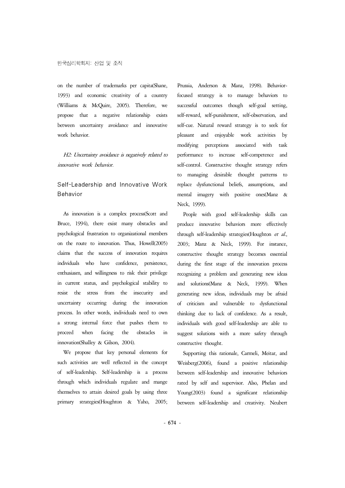on the number of trademarks per capita(Shane, 1993) and economic creativity of a country (Williams & McQuire, 2005). Therefore, we propose that a negative relationship exists between uncertainty avoidance and innovative work behavior.

H2: Uncertainty avoidance is negatively related to innovative work behavior.

# Self-Leadership and Innovative Work Behavior

As innovation is a complex process(Scott and Bruce, 1994), there exist many obstacles and psychological frustration to organizational members through self-leadership strategies(Houghton et al., on the route to innovation. Thus, Howell(2005) claims that the success of innovation requires individuals who have confidence, persistence, enthusiasm, and willingness to risk their privilege in current status, and psychological stability to resist the stress from the insecurity and uncertainty occurring during the innovation process. In other words, individuals need to own a strong internal force that pushes them to proceed when facing the obstacles in innovation(Shalley & Gilson, 2004).

We propose that key personal elements for such activities are well reflected in the concept of self-leadership. Self-leadership is a process through which individuals regulate and mange themselves to attain desired goals by using three primary strategies(Houghton & Yaho, 2005;

Prussia, Anderson & Manz, 1998). Behaviorfocused strategy is to manage behaviors to successful outcomes though self-goal setting, self-reward, self-punishment, self-observation, and self-cue. Natural reward strategy is to seek for pleasant and enjoyable work activities by modifying perceptions associated with task performance to increase self-competence and self-control. Constructive thought strategy refers to managing desirable thought patterns to replace dysfunctional beliefs, assumptions, and mental imagery with positive ones(Manz & Neck, 1999).

People with good self-leadership skills can produce innovative behaviors more effectively 2003; Manz & Neck, 1999). For instance, constructive thought strategy becomes essential during the first stage of the innovation process recognizing a problem and generating new ideas and solutions(Manz & Neck, 1999). When generating new ideas, individuals may be afraid of criticism and vulnerable to dysfunctional thinking due to lack of confidence. As a result, individuals with good self-leadership are able to suggest solutions with a more safety through constructive thought.

Supporting this rationale, Carmeli, Meitar, and Weisberg(2006), found a positive relationship between self-leadership and innovative behaviors rated by self and supervisor. Also, Phelan and Young(2003) found a significant relationship between self-leadership and creativity. Neubert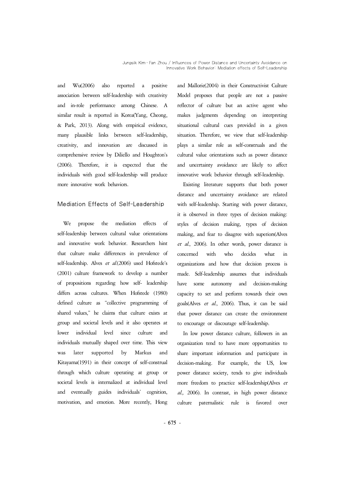and Wu(2006) also reported a positive association between self-leadership with creativity and in-role performance among Chinese. A similar result is reported in Korea(Yang, Cheong, & Park, 2013). Along with empirical evidence, many plausible links between self-leadership, creativity, and innovation are discussed in comprehensive review by Diliello and Houghton's (2006). Therefore, it is expected that the individuals with good self-leadership will produce more innovative work behaviors.

## Mediation Effects of Self-Leadership

We propose the mediation effects of self-leadership between cultural value orientations and innovative work behavior. Researchers hint that culture make differences in prevalence of self-leadership. Alves et al.(2006) used Hofstede's (2001) culture framework to develop a number of propositions regarding how self- leadership differs across cultures. When Hofstede (1980) defined culture as "collective programming of shared values," he claims that culture exists at group and societal levels and it also operates at lower individual level since culture and individuals mutually shaped over time. This view was later supported by Markus and Kitayama(1991) in their concept of self-construal through which culture operating at group or societal levels is internalized at individual level and eventually guides individuals' cognition, motivation, and emotion. More recently, Hong

and Mallorie(2004) in their Constructivist Culture Model proposes that people are not a passive reflector of culture but an active agent who makes judgments depending on interpreting situational cultural cues provided in a given situation. Therefore, we view that self-leadership plays a similar role as self-construals and the cultural value orientations such as power distance and uncertainty avoidance are likely to affect innovative work behavior through self-leadership.

Existing literature supports that both power distance and uncertainty avoidance are related with self-leadership. Starting with power distance, it is observed in three types of decision making: styles of decision making, types of decision making, and fear to disagree with superiors(Alves et al., 2006). In other words, power distance is concerned with who decides what in organizations and how that decision process is made. Self-leadership assumes that individuals autonomy and decision-making capacity to set and perform towards their own goals(Alves et al., 2006). Thus, it can be said that power distance can create the environment to encourage or discourage self-leadership.

In low power distance culture, followers in an organization tend to have more opportunities to share important information and participate in decision-making. For example, the US, low power distance society, tends to give individuals more freedom to practice self-leadership(Alves et al., 2006). In contrast, in high power distance culture paternalistic rule is favored over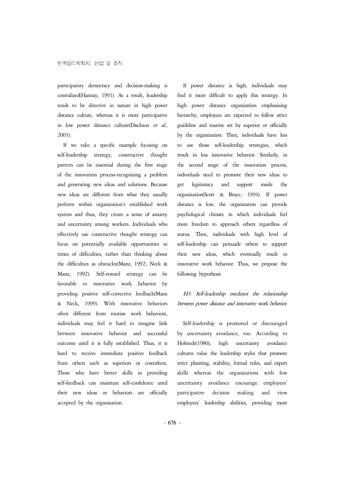participatory democracy and decision-making is centralized(Hannay, 1991). As a result, leadership tends to be directive in nature in high power distance culture, whereas it is more participative in low power distance culture(Disckson et al., 2003).

If we take a specific example focusing on self-leadership strategy, constructive thought pattern can be essential during the first stage of the innovation process-recognizing a problem and generating new ideas and solutions. Because new ideas are different from what they usually perform within organization's established work system and thus, they create a sense of anxiety and uncertainty among workers. Individuals who effectively use constructive thought strategy can focus on potentially available opportunities in times of difficulties, rather than thinking about the difficulties as obstacles(Manz, 1992; Neck & Manz, 1992). Self-reward strategy can be favorable to innovative work behavior by providing positive self-corrective feedback(Manz & Neck, 1999). With innovative behaviors often different from routine work behaviors, individuals may feel it hard to imagine link between innovative behavior and successful outcome until it is fully established. Thus, it is hard to receive immediate positive feedback from others such as superiors or coworkers. Those who have better skills in providing self-feedback can maintain self-confidence until their new ideas or behaviors are officially accepted by the organization.

If power distance is high, individuals may find it more difficult to apply this strategy. In high power distance organization emphasizing hierarchy, employees are expected to follow strict guideline and routine set by superior or officially by the organization. Then, individuals have less to use those self-leadership strategies, which result in less innovative behavior. Similarly, in the second stage of the innovation process, individuals need to promote their new ideas to legitimacy and support inside the organization(Scott & Bruce, 1994). If power distance is low, the organization can provide psychological climate in which individuals feel more freedom to approach others regardless of status. Then, individuals with high level of self-leadership can persuade others to support their new ideas, which eventually result in innovative work behavior. Thus, we propose the following hypothesis

H3: Self-leadership mediates the relationship between power distance and innovative work behavior.

Self-leadership is promoted or discouraged by uncertainty avoidance, too. According to Hofstede(1980), high uncertainty avoidance cultures value the leadership styles that promote strict planning, stability, formal rules, and expert skills whereas the organizations with low uncertainty avoidance encourage employees' participative decision making and view employees' leadership abilities, providing more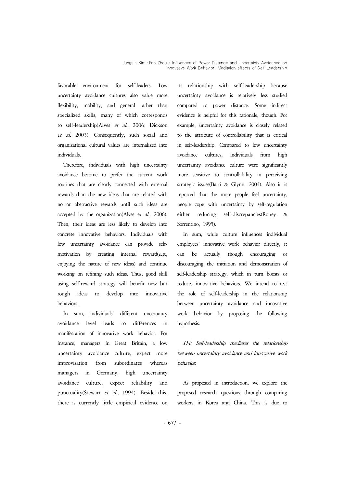favorable environment for self-leaders. Low uncertainty avoidance cultures also value more flexibility, mobility, and general rather than specialized skills, many of which corresponds to self-leadership(Alves et al., 2006; Dickson et al, 2003). Consequently, such social and organizational cultural values are internalized into individuals.

Therefore, individuals with high uncertainty avoidance become to prefer the current work routines that are clearly connected with external rewards than the new ideas that are related with no or abstractive rewards until such ideas are people accepted by the organization(Alves et  $al$ , 2006). either Then, their ideas are less likely to develop into concrete innovative behaviors. Individuals with low uncertainty avoidance can provide selfmotivation by creating internal reward $(e.g.,$  can enjoying the nature of new ideas) and continue working on refining such ideas. Thus, good skill using self-reward strategy will benefit new but rough ideas to develop into innovative behaviors.

In sum, individuals' different uncertainty avoidance level leads to differences in manifestation of innovative work behavior. For instance, managers in Great Britain, a low uncertainty avoidance culture, expect more improvisation from subordinates whereas managers in Germany, high uncertainty avoidance culture, expect reliability and punctuality(Stewart et al., 1994). Beside this, there is currently little empirical evidence on

relationship with self-leadership because uncertainty avoidance is relatively less studied compared to power distance. Some indirect evidence is helpful for this rationale, though. For example, uncertainty avoidance is closely related to the attribute of controllability that is critical in self-leadership. Compared to low uncertainty avoidance cultures, individuals from high uncertainty avoidance culture were significantly more sensitive to controllability in perceiving strategic issues(Barri & Glynn, 2004). Also it is reported that the more people feel uncertainty, people cope with uncertainty by self-regulation reducing self-discrepancies(Roney & Sorrentino, 1995).

In sum, while culture influences individual employees' innovative work behavior directly, it can be actually though encouraging or discouraging the initiation and demonstration of self-leadership strategy, which in turn boosts or reduces innovative behaviors. We intend to test the role of self-leadership in the relationship between uncertainty avoidance and innovative work behavior by proposing the following hypothesis.

H4: Self-leadership mediates the relationship between uncertainty avoidance and innovative work behavior.

As proposed in introduction, we explore the proposed research questions through comparing workers in Korea and China. This is due to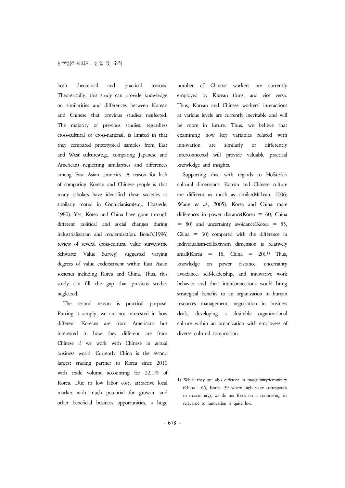both theoretical and practical reasons. Theoretically, this study can provide knowledge on similarities and differences between Korean and Chinese that previous studies neglected. The majority of previous studies, regardless cross-cultural or cross-national, is limited in that they compared prototypical samples from East and West cultures(e.g., comparing Japanese and American) neglecting similarities and differences among East Asian countries. A reason for lack of comparing Korean and Chinese people is that many scholars have identified these societies as similarly rooted in Confucianism(e.g., Hofstede, 1980). Yet, Korea and China have gone through different political and social changes during  $= 80$  and uncertainty avoidance (Korea  $= 85$ , industrialization and modernization. Bond's(1996) review of several cross-cultural value surveys(the Schwartz Value Survey) suggested varying degrees of value endorsement within East Asian knowledge societies including Korea and China. Thus, this study can fill the gap that previous studies neglected.

The second reason is practical purpose. Putting it simply, we are not interested in how different Koreans are from Americans but interested in how they different are from Chinese if we work with Chinese in actual business world. Currently China is the second largest trading partner to Korea since 2010 with trade volume accounting for 22.1% of Korea. Due to low labor cost, attractive local market with much potential for growth, and other beneficial business opportunities, a huge number of Chinese workers are currently employed by Korean firms, and vice versa. Thus, Korean and Chinese workers' interactions at various levels are currently inevitable and will be more in future. Thus, we believe that examining how key variables related with innovation are similarly or differently interconnected will provide valuable practical knowledge and insights.

Supporting this, with regards to Hofstede's are different as much as similar(McLean, 2006; Wang et al., 2005). Korea and China more differences in power distance(Korea = 60, China China = 30) compared with the difference in individualism-collectivism dimension is relatively small(Korea = 18, China =  $20$ ).<sup>1)</sup> Thus, on power distance, uncertainty avoidance, self-leadership, and innovative work behavior and their interconnections would bring strategical benefits to an organization in human resources management, negotiation in business deals, developing a desirable organizational culture within an organization with employees of diverse cultural composition.

<sup>1)</sup> While they are also different in masculinity/femininity (China= 66, Korea=39 where high score corresponds to masculinity), we do not focus on it considering its relevance to innovation is quite low.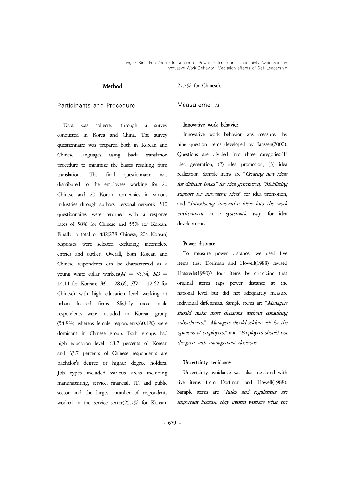#### Method

#### Participants and Procedure

Data was collected through a survey conducted in Korea and China. The survey questionnaire was prepared both in Korean and Chinese languages using back translation procedure to minimize the biases resulting from translation. The final questionnaire was distributed to the employees working for 20 Chinese and 20 Korean companies in various industries through authors' personal network. 510 questionnaires were returned with a response rates of 58% for Chinese and 55% for Korean. Finally, a total of 482(278 Chinese, 204 Korean) responses were selected excluding incomplete entries and outlier. Overall, both Korean and Chinese respondents can be characterized as a young white collar workers( $M = 35.34$ ,  $SD = 14.11$  for Korean;  $M = 28.66$ ,  $SD = 12.62$  for Chinese) with high education level working at urban located firms. Slightly more male respondents were included in Korean group (54.8%) whereas female respondents(60.1%) were dominant in Chinese group. Both groups had high education level: 68.7 percents of Korean and 63.7 percents of Chinese respondents are bachelor's degree or higher degree holders. Job types included various areas including manufacturing, service, financial, IT, and public sector and the largest number of respondents worked in the service sector(25.7% for Korean,

27.7% for Chinese).

#### Measurements

#### Innovative work behavior

Innovative work behavior was measured by nine question items developed by Janssen(2000). Questions are divided into three categories:(1) idea generation, (2) idea promotion, (3) idea realization. Sample items are "Creating new ideas for difficult issues" for idea generation, "Mobilizing support for innovative ideas" for idea promotion, and "Introducing innovative ideas into the work environment in a systematic way" for idea development.

#### Power distance

To measure power distance, we used five items that Dorfman and Howell(1988) revised Hofstede(1980)'s four items by criticizing that original items taps power distance at the national level but did not adequately measure individual differences. Sample items are "Managers should make most decisions without consulting subordinates," "Managers should seldom ask for the opinions of employees," and "Employees should not disagree with management decisions.

#### Uncertainty avoidance

Uncertainty avoidance was also measured with five items from Dorfman and Howell(1988). Sample items are "Rules and regularities are important because they inform workers what the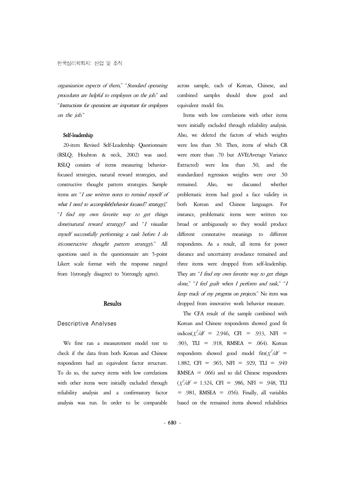organization expects of them," "Standard operating procedures are helpful to employees on the job." and "Instructions for operations are important for employees on the job."

#### Self-leadership

20-item Revised Self-Leadership Questionnaire (RSLQ; Houhton & neck, 2002) was used. RSLQ consists of items measuring behaviorfocused strategies, natural reward strategies, and constructive thought pattern strategies. Sample items are "I use written notes to remind myself of what I need to accomplish(behavior focused7 strategy),"<br>"I find my own favorite way to get things done(natural reward strategy)" and "I visualize myself successfully performing a task before I do it(constructive thought pattern strategy)." All questions used in the questionnaire are 5-point Likert scale format with the response ranged from 1(strongly disagree) to 5(strongly agree).

## **Results**

#### Descriptive Analyses

We first ran a measurement model test to check if the data from both Korean and Chinese respondents had an equivalent factor structure. To do so, the survey items with low correlations with other items were initially excluded through reliability analysis and a confirmatory factor analysis was run. In order to be comparable across sample, each of Korean, Chinese, and combined samples should show good and equivalent model fits.

Items with low correlations with other items were initially excluded through reliability analysis. Also, we deleted the factors of which weights were less than .50. Then, items of which CR were more than .70 but AVE(Average Variance Extracted) were less than .50, and the standardized regression weights were over .50 remained. Also, we discussed whether problematic items had good a face validity in both Korean and Chinese languages. For instance, problematic items were written too broad or ambiguously so they would produce different connotative meanings to different respondents. As a result, all items for power distance and uncertainty avoidance remained and three items were dropped from self-leadership. They are "I find my own favorite way to get things done," "I feel guilt when I perform and task," "<sup>I</sup> keep track of my progress on projects." No item was dropped from innovative work behavior measure.

The CFA result of the sample combined with Korean and Chinese respondents showed good fit  $indices(\chi^2/df = 2.946, \text{ CFI} = .933, \text{ NFI} =$ .903, TLI = .918, RMSEA = .064). Korean respondents showed good model fits( $\chi^2/df =$ 1.882, CFI = .965, NFI = .929, TLI = .949  $RMSEA = .066$  and so did Chinese respondents  $(\chi^2/df = 1.324)$  $= .981$ , RMSEA  $= .056$ ). Finally, all variables based on the remained items showed reliabilities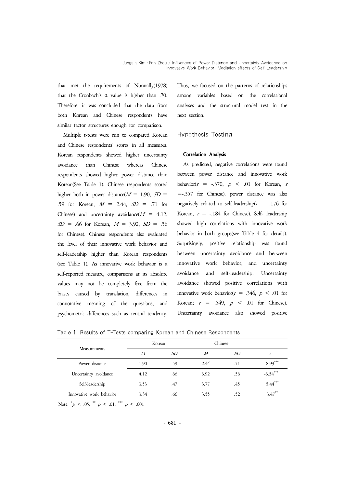that met the requirements of Nunnally(1978) that the Cronbach's α value is higher than .70. Therefore, it was concluded that the data from both Korean and Chinese respondents have similar factor structures enough for comparison.

Multiple t-tests were run to compared Korean and Chinese respondents' scores in all measures. Korean respondents showed higher uncertainty avoidance than Chinese whereas Chinese respondents showed higher power distance than Korean(See Table 1). Chinese respondents scored higher both in power distance( $M = 1.90$ ,  $SD =$ .59 for Korean,  $M = 2.44$ ,  $SD = .71$  for Chinese) and uncertainty avoidance( $M = 4.12$ ,  $SD = .66$  for Korean,  $M = 3.92$ ,  $SD = .56$ for Chinese). Chinese respondents also evaluated the level of their innovative work behavior and self-leadership higher than Korean respondents (see Table 1). As innovative work behavior is a self-reported measure, comparisons at its absolute values may not be completely free from the biases caused by translation, differences in connotative meaning of the questions, and psychometric differences such as central tendency.

Thus, we focused on the patterns of relationships among variables based on the correlational analyses and the structural model test in the next section.

#### Hypothesis Testing

#### Correlation Analysis

As predicted, negative correlations were found between power distance and innovative work behavior( $r = -.370$ ,  $p < .01$  for Korean, r =-.357 for Chinese). power distance was also negatively related to self-leadership( $r = -176$  for Korean,  $r = -.184$  for Chinese). Self- leadership showed high correlations with innovative work behavior in both groups(see Table 4 for details). Surprisingly, positive relationship was found between uncertainty avoidance and between innovative work behavior, and uncertainty avoidance and self-leadership. Uncertainty avoidance showed positive correlations with innovative work behavior( $r = .346$ ,  $p < .01$  for Korean;  $r = .549$ ,  $p < .01$  for Chinese). Uncertainty avoidance also showed positive

Table 1. Results of T-Tests comparing Korean and Chinese Respondents

|                          | Korean |     | Chinese |     |            |
|--------------------------|--------|-----|---------|-----|------------|
| Measurements             | M      | SD  | M       | SD  |            |
| Power distance           | 1.90   | .59 | 2.44    | .71 | $8.93***$  |
| Uncertainty avoidance    | 4.12   | .66 | 3.92    | .56 | $-3.54***$ |
| Self-leadership          | 3.53   | .47 | 3.77    | .45 | $5.44***$  |
| Innovative work behavior | 3.34   | .66 | 3.55    | .52 | $3.47***$  |

Note.  $^*p < .05$ .  $^{**}p < .01$ ,  $^{***}p < .001$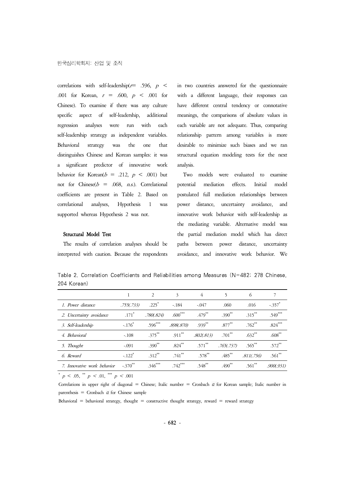correlations with self-leadership( $r=$  .596,  $p <$ .001 for Korean,  $r = .600$ ,  $p < .001$  for with a different language, their responses can Chinese). To examine if there was any culture specific aspect of self-leadership, additional regression analyses were run with each self-leadership strategy as independent variables. Behavioral strategy was the one that desirable to minimize such biases and we ran distinguishes Chinese and Korean samples: it was a significant predictor of innovative work behavior for Korean( $b = .212$ ,  $p < .001$ ) but not for Chinese( $b = .068$ , *n.s.*). Correlational potential coefficients are present in Table 2. Based on correlational analyses, Hypothesis 1 was supported whereas Hypothesis 2 was not.

in two countries answered for the questionnaire have different central tendency or connotative meanings, the comparisons of absolute values in each variable are not adequate. Thus, comparing relationship pattern among variables is more structural equation modeling tests for the next analysis.

Two models were evaluated to examine mediation effects. Initial model postulated full mediation relationships between power distance, uncertainty avoidance, and innovative work behavior with self-leadership as the mediating variable. Alternative model was the partial mediation model which has direct paths between power distance, uncertainty avoidance, and innovative work behavior. We

Structural Model Test

The results of correlation analyses should be interpreted with caution. Because the respondents

Table 2. Correlation Coefficients and Reliabilities among Measures (N=482; 278 Chinese, 204 Korean)

|                             |                       | 2          | 3          | 4           | 5          | 6           |                      |
|-----------------------------|-----------------------|------------|------------|-------------|------------|-------------|----------------------|
| 1. Power distance           | .755(.733)            | $.225*$    | $-.184$    | $-.047$     | .060       | .016        | $-.357$ <sup>*</sup> |
| 2. Uncertainty avoidance    | $.171*$               | .780(.824) | $.600***$  | .479**      | $.390**$   | $.315***$   | .549***              |
| 3. Self-leadership          | $-.176$               | $.596***$  | .898(.870) | $.939***$   | $.877***$  | $.762^{**}$ | $.824***$            |
| 4. Behavioral               | $-.108$               | $.375***$  | $.911***$  | .802(.813)  | $.701$ **  | $.632***$   | $.608***$            |
| 5. Thought                  | $-.091$               | $.390**$   | $.824***$  | $.571$ **   | .765(.737) | $.565***$   | $.572^{**}$          |
| 6. Reward                   | $-.122$ <sup>*</sup>  | $.312**$   | $.741**$   | $.578^{**}$ | $.485***$  | .811(.756)  | $.561**$             |
| 7. Innovative work behavior | $-.370$ <sup>**</sup> | $.346***$  | $.742***$  | $.548^{**}$ | $.490**$   | $.561$ **   | .900(.931)           |

 $p < .05$ ,  $\binom{**}{p} < .01$ ,  $\binom{***}{p} < .001$ 

Correlations in upper right of diagonal = Chinese; Italic number = Cronbach  $\alpha$  for Korean sample; Italic number in parenthesis = Cronbach  $\alpha$  for Chinese sample

Behavioral = behavioral strategy, thought = constructive thought strategy, reward = reward strategy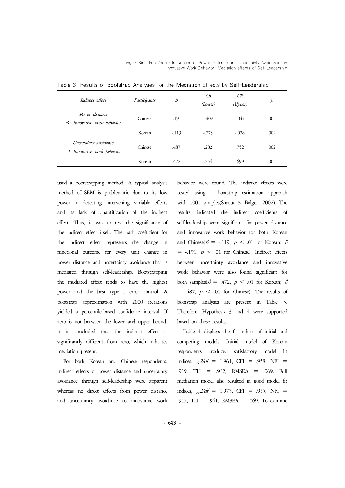Jungsik Kim․Fan Zhou / Influences of Power Distance and Uncertainty Avoidance on Innovative Work Behavior: Mediation effects of Self-Leadership

| Indirect effect                                                 | Participants | $\beta$ | <b>CR</b><br>(Lower) | CR<br>(Upper) | $\overline{P}$ |
|-----------------------------------------------------------------|--------------|---------|----------------------|---------------|----------------|
|                                                                 |              |         |                      |               |                |
| Power distance<br>$\Rightarrow$ Innovative work behavior        | Chinese      | $-191$  | $-409$               | $-.047$       | .002           |
|                                                                 | Korean       | $-.119$ | $-.273$              | $-.028$       | .002           |
| Uncertainty avoidance<br>$\Rightarrow$ Innovative work behavior | Chinese      | .487    | .282                 | .752          | .002           |
|                                                                 | Korean       | .472    | .254                 | .699          | .002           |

Table 3. Results of Bootstrap Analyses for the Mediation Effects by Self-Leadership

used a bootstrapping method. A typical analysis method of SEM is problematic due to its low power in detecting intervening variable effects and its lack of quantification of the indirect effect. Thus, it was to test the significance of the indirect effect itself. The path coefficient for the indirect effect represents the change in functional outcome for every unit change in power distance and uncertainty avoidance that is mediated through self-leadership. Bootstrapping the mediated effect tends to have the highest power and the best type I error control. A bootstrap approximation with 2000 iterations yielded a percentile-based confidence interval. If zero is not between the lower and upper bound, it is concluded that the indirect effect is significantly different from zero, which indicates mediation present.

For both Korean and Chinese respondents, indirect effects of power distance and uncertainty avoidance through self-leadership were apparent whereas no direct effects from power distance and uncertainty avoidance to innovative work behavior were found. The indirect effects were tested using a bootstrap estimation approach with 1000 samples(Shrout & Bolger, 2002). The results indicated the indirect coefficients of self-leadership were significant for power distance and innovative work behavior for both Korean and Chinese( $\beta$  = -.119,  $p$  < .01 for Korean;  $\beta$  $=$  -.191,  $p < .01$  for Chinese). Indirect effects between uncertainty avoidance and innovative work behavior were also found significant for both samples( $\beta = .472$ ,  $p < .01$  for Korean;  $\beta$  $= .487, p < .01$  for Chinese). The results of bootstrap analyses are present in Table 3. Therefore, Hypothesis 3 and 4 were supported based on these results.

Table 4 displays the fit indices of initial and competing models. Initial model of Korean respondents produced satisfactory model fit indices,  $\chi/2/df = 1.961$ , CFI = .958, NFI = .919, TLI = .942, RMSEA = .069. Full mediation model also resulted in good model fit indices,  $\chi 2/df = 1.973$ , CFI = .955, NFI = .915, TLI = .941, RMSEA = .069. To examine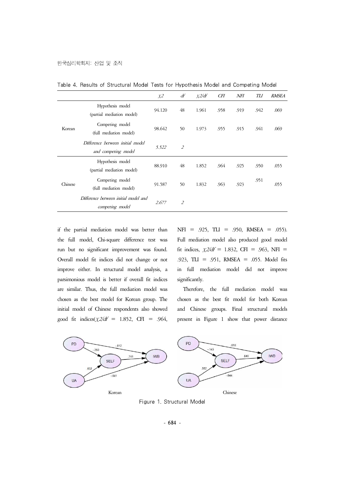|         |                                                         | $X^2$  | df             | x2/df | <b>CFI</b> | NFI  | TLI  | <b>RMSEA</b> |
|---------|---------------------------------------------------------|--------|----------------|-------|------------|------|------|--------------|
| Korean  | Hypothesis model<br>(partial mediation model)           | 94.120 | 48             | 1.961 | .958       | .919 | .942 | .069         |
|         | Competing model<br>(full mediation model)               | 98.642 | 50             | 1.973 | .955       | .915 | .941 | .069         |
|         | Difference berween initial model<br>and competing model | 5.522  | $\overline{2}$ |       |            |      |      |              |
| Chinese | Hypothesis model<br>(partial mediation model)           | 88.910 | 48             | 1.852 | .964       | .925 | .950 | .055         |
|         | Competing model<br>(full mediation model)               | 91.587 | 50             | 1.832 | .963       | .923 | .951 | .055         |
|         | Difference between initial model and<br>competing model | 2.677  | $\overline{2}$ |       |            |      |      |              |

Table 4. Results of Structural Model Tests for Hypothesis Model and Competing Model

if the partial mediation model was better than the full model, Chi-square difference test was run but no significant improvement was found. Overall model fit indices did not change or not improve either. In structural model analysis, a parsimonious model is better if overall fit indices are similar. Thus, the full mediation model was chosen as the best model for Korean group. The initial model of Chinese respondents also showed good fit indices( $\chi$ 2/df = 1.852, CFI = .964,  $NFI = .925, TLI = .950, RMSEA = .055$ . Full mediation model also produced good model fit indices,  $\chi/2/df = 1.832$ , CFI = .963, NFI = .923, TLI = .951, RMSEA = .055. Model fits in full mediation model did not improve significantly.

Therefore, the full mediation model was chosen as the best fit model for both Korean and Chinese groups. Final structural models present in Figure 1 show that power distance



Figure 1. Structural Model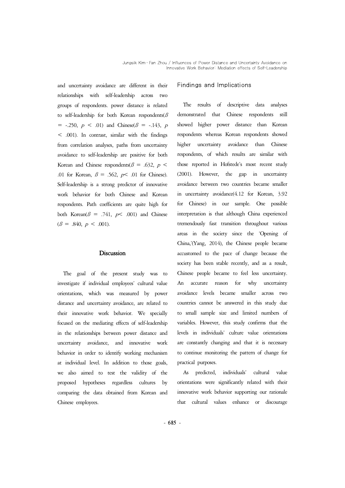and uncertainty avoidance are different in their relationships with self-leadership across groups of respondents. power distance is related to self-leadership for both Korean respondents( $\beta$  $=$  -.250,  $p \leq .01$ ) and Chinese( $\beta = -.143$ , p < .001). In contrast, similar with the findings from correlation analyses, paths from uncertainty higher uncertainty avoidance to self-leadership are positive for both Korean and Chinese respondents( $\beta$  = .632,  $p$  < .01 for Korean,  $\beta = .562$ ,  $p < .01$  for Chinese). Self-leadership is a strong predictor of innovative work behavior for both Chinese and Korean respondents. Path coefficients are quite high for both Korean( $\beta$  = .741,  $p$ < .001) and Chinese  $(\beta = .840, p < .001)$ .

#### **Discussion**

The goal of the present study was to investigate if individual employees' cultural value orientations, which was measured by power distance and uncertainty avoidance, are related to their innovative work behavior. We specially focused on the mediating effects of self-leadership in the relationships between power distance and levels in individuals' culture value orientations uncertainty avoidance, and innovative work behavior in order to identify working mechanism at individual level. In addition to those goals, we also aimed to test the validity of the proposed hypotheses regardless cultures by comparing the data obtained from Korean and Chinese employees.

## Findings and Implications

The results of descriptive data analyses demonstrated that Chinese respondents still showed higher power distance than Korean respondents whereas Korean respondents showed avoidance than Chinese respondents, of which results are similar with those reported in Hofstede's most recent study (2001). However, the gap in uncertainty avoidance between two countries became smaller in uncertainty avoidance(4.12 for Korean, 3.92 for Chinese) in our sample. One possible interpretation is that although China experienced tremendously fast transition throughout various areas in the society since the 'Opening of China,'(Yang, 2014), the Chinese people became accustomed to the pace of change because the society has been stable recently, and as a result, Chinese people became to feel less uncertainty. An accurate reason for why uncertainty avoidance levels became smaller across two countries cannot be answered in this study due to small sample size and limited numbers of variables. However, this study confirms that the are constantly changing and that it is necessary to continue monitoring the pattern of change for practical purposes.

As predicted, individuals' cultural value orientations were significantly related with their innovative work behavior supporting our rationale that cultural values enhance or discourage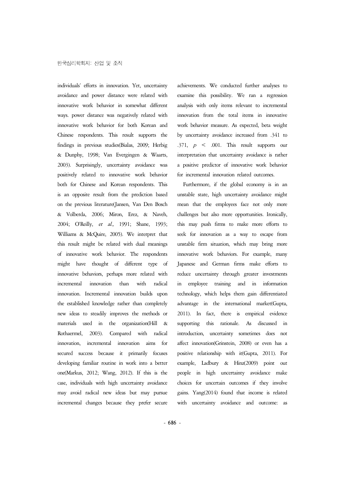individuals' efforts in innovation. Yet, uncertainty avoidance and power distance were related with innovative work behavior in somewhat different ways. power distance was negatively related with innovative work behavior for both Korean and Chinese respondents. This result supports the findings in previous studies(Bialas, 2009; Herbig & Dunphy, 1998; Van Evergingen & Waarts, 2003). Surprisingly, uncertainty avoidance was a positive predictor of innovative work behavior positively related to innovative work behavior for incremental innovation related outcomes. both for Chinese and Korean respondents. This is an opposite result from the prediction based unstable state, high uncertainty avoidance might on the previous literature(Jansen, Van Den Bosch & Volberda, 2006; Miron, Erez, & Naveh, 2004; O'Reilly, et al., 1991; Shane, 1993; Williams & McQuire, 2005). We interpret that this result might be related with dual meanings of innovative work behavior. The respondents might have thought of different type of innovative behaviors, perhaps more related with incremental innovation than with radical innovation. Incremental innovation builds upon the established knowledge rather than completely new ideas to steadily improves the methods or materials used in the organization(Hill & Rothaermel, 2003). Compared with radical innovation, incremental innovation aims for affect innovation(Grinstein, 2008) or even has a secured success because it primarily focuses developing familiar routine in work into a better one(Markus, 2012; Wang, 2012). If this is the case, individuals with high uncertainty avoidance may avoid radical new ideas but may pursue incremental changes because they prefer secure

achievements. We conducted further analyses to examine this possibility. We ran a regression analysis with only items relevant to incremental innovation from the total items in innovative work behavior measure. As expected, beta weight by uncertainty avoidance increased from .341 to .371,  $p \leq .001$ . This result supports our interpretation that uncertainty avoidance is rather for incremental innovation related outcomes.

Furthermore, if the global economy is in an unstable state, high uncertainty avoidance might mean that the employees face not only more challenges but also more opportunities. Ironically, this may push firms to make more efforts to seek for innovation as a way to escape from unstable firm situation, which may bring more innovative work behaviors. For example, many Japanese and German firms make efforts to reduce uncertainty through greater investments in employee training and in information technology, which helps them gain differentiated advantage in the international market(Gupta, 2011). In fact, there is empirical evidence rationale. As discussed in introduction, uncertainty sometimes does not positive relationship with it(Gupta, 2011). For example, Ladbury & Hinz(2009) point out people in high uncertainty avoidance make choices for uncertain outcomes if they involve gains. Yang(2014) found that income is related with uncertainty avoidance and outcome: as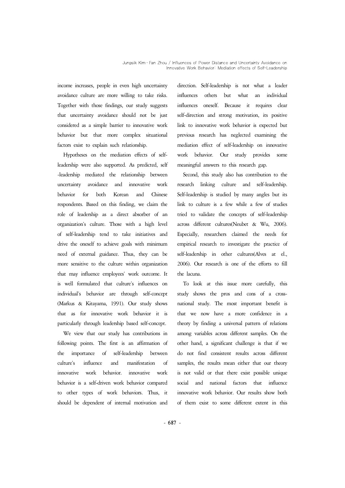income increases, people in even high uncertainty avoidance culture are more willing to take risks. Together with those findings, our study suggests that uncertainty avoidance should not be just considered as a simple barrier to innovative work behavior but that more complex situational factors exist to explain such relationship.

Hypotheses on the mediation effects of selfleadership were also supported. As predicted, self -leadership mediated the relationship between uncertainty avoidance and innovative work behavior for both Korean and Chinese respondents. Based on this finding, we claim the role of leadership as a direct absorber of an organization's culture. Those with a high level of self-leadership tend to take initiatives and drive the oneself to achieve goals with minimum need of external guidance. Thus, they can be more sensitive to the culture within organization that may influence employees' work outcome. It is well formulated that culture's influences on individual's behavior are through self-concept (Markus & Kitayama, 1991). Our study shows that as for innovative work behavior it is particularly through leadership based self-concept.

We view that our study has contributions in following points. The first is an affirmation of the importance of self-leadership between culture's influence and manifestation of innovative work behavior. innovative work behavior is a self-driven work behavior compared to other types of work behaviors. Thus, it should be dependent of internal motivation and

direction. Self-leadership is not what a leader others but what an individual influences oneself. Because it requires clear self-direction and strong motivation, its positive link to innovative work behavior is expected but previous research has neglected examining the mediation effect of self-leadership on innovative work behavior. Our study provides some meaningful answers to this research gap.

Second, this study also has contribution to the research linking culture and self-leadership. Self-leadership is studied by many angles but its link to culture is a few while a few of studies tried to validate the concepts of self-leadership across different cultures(Neubet & Wu, 2006). Especially, researchers claimed the needs for empirical research to investigate the practice of self-leadership in other cultures(Alves at el., 2006). Our research is one of the efforts to fill the lacuna.

To look at this issue more carefully, this study shows the pros and cons of a crossnational study. The most important benefit is theory by finding a universal pattern of relations among variables across different samples. On the other hand, a significant challenge is that if we do not find consistent results across different samples, the results mean either that our theory is not valid or that there exist possible unique and national factors that influence innovative work behavior. Our results show both of them exist to some different extent in this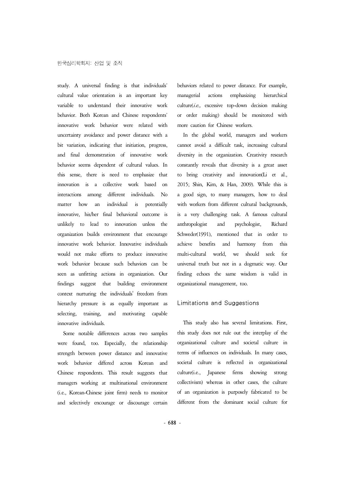study. A universal finding is that individuals' cultural value orientation is an important key variable to understand their innovative work behavior. Both Korean and Chinese respondents' innovative work behavior were related with uncertainty avoidance and power distance with a bit variation, indicating that initiation, progress, and final demonstration of innovative work behavior seems dependent of cultural values. In this sense, there is need to emphasize that innovation is a collective work based on 2015; Shin, Kim, & Han, 2009). While this is interactions among different individuals. No matter how an individual is potentially innovative, his/her final behavioral outcome is unlikely to lead to innovation unless the organization builds environment that encourage innovative work behavior. Innovative individuals would not make efforts to produce innovative work behavior because such behaviors can be seen as unfitting actions in organization. Our findings suggest that building environment context nurturing the individuals' freedom from hierarchy pressure is as equally important as selecting, training, and motivating capable innovative individuals.

Some notable differences across two samples were found, too. Especially, the relationship strength between power distance and innovative work behavior differed across Korean and Chinese respondents. This result suggests that managers working at multinational environment (i.e., Korean-Chinese joint firm) needs to monitor and selectively encourage or discourage certain

behaviors related to power distance. For example, actions emphasizing hierarchical  $culture(i.e., excessive top-down decision making)$ or order making) should be monitored with more caution for Chinese workers.

In the global world, managers and workers cannot avoid a difficult task, increasing cultural diversity in the organization. Creativity research constantly reveals that diversity is a great asset to bring creativity and innovation(Li et al., a good sign, to many managers, how to deal with workers from different cultural backgrounds, is a very challenging task. A famous cultural anthropologist and psychologist, Richard Schweder(1991), mentioned that in order to and harmony from this multi-cultural world, we should seek for universal truth but not in a dogmatic way. Our finding echoes the same wisdom is valid in organizational management, too.

## Limitations and Suggestions

This study also has several limitations. First, this study does not rule out the interplay of the organizational culture and societal culture in terms of influences on individuals. In many cases, societal culture is reflected in organizational culture(i.e., Japanese firms showing strong collectivism) whereas in other cases, the culture of an organization is purposely fabricated to be different from the dominant social culture for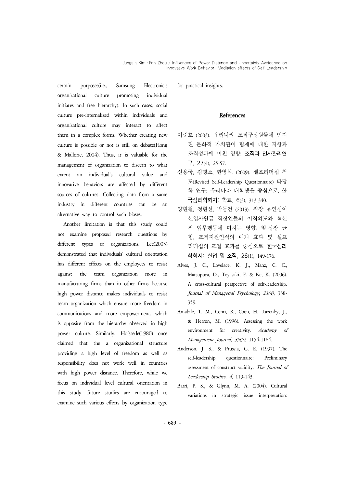certain purposes(i.e., Samsung Electronic's organizational culture promoting individual initiates and free hierarchy). In such cases, social culture pre-internalized within individuals and organizational culture may interact to affect them in a complex forms. Whether creating new culture is possible or not is still on debate(Hong & Mallorie, 2004). Thus, it is valuable for the management of organization to discern to what extent an individual's cultural value and innovative behaviors are affected by different sources of cultures. Collecting data from a same industry in different countries can be an alternative way to control such biases.

Another limitation is that this study could not examine proposed research questions by different types of organizations. Lee(2003) demonstrated that individuals' cultural orientation has different effects on the employees to resist against the team organization more in manufacturing firms than in other firms because high power distance makes individuals to resist team organization which ensure more freedom in communications and more empowerment, which is opposite from the hierarchy observed in high power culture. Similarly, Hofstede(1980) once claimed that the a organizational structure providing a high level of freedom as well as responsibility does not work well in countries with high power distance. Therefore, while we focus on individual level cultural orientation in this study, future studies are encouraged to examine such various effects by organization type for practical insights.

#### **References**

- 이준호 (2003). 우리나라 조직구성원들에 인지 된 문화적 가치관이 팀제에 대한 저항과 조직성과에 미친 영향. 조직과 인사관리연 구, 27(4), 25-57.
- 신용국, 김명소, 한영석. (2009). 셀프리더십 척 도(Revised Self-Leadership Questionnaire) 타당 화 연구: 우리나라 대학생을 중심으로. 한 국심리학회지: 학교, 6(3), 313-340.
- 양현철, 정현선, 박동건 (2013). 직장 유연성이 신입사원급 직장인들의 이직의도와 혁신 적 업무행동에 미치는 영향: 일-성장 균 형, 조직지원인식의 매개 효과 및 셀프 리더십의 조절 효과를 중심으로. 한국심리 학회지: 산업 및 조직, 26(1), 149-176.
- Alves, J. C., Lovelace, K. J., Manz, C. C., Matsupura, D., Toyasaki, F. & Ke, K. (2006). A cross-cultural perspective of self-leadership. Journal of Managerial Psychology, 21(4), 338- 359.
- Amabile, T. M., Conti, R., Coon, H., Lazenby, J., & Herron, M. (1996). Assessing the work environment for creativity. Academy of Management Journal, 39(5), 1154-1184.
- Anderson, J. S., & Prussia, G. E. (1997). The self-leadership questionnaire: Preliminary assessment of construct validity. The Journal of Leadership Studies, 4, 119-143.
- Barri, P. S., & Glynn, M. A. (2004). Cultural variations in strategic issue interpretation: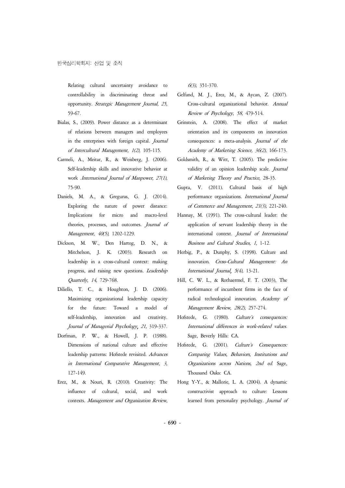Relating cultural uncertainty avoidance to controllability in discriminating threat and opportunity. Strategic Management Journal, 25, 59-67.

- Bialas, S., (2009). Power distance as a determinant of relations between managers and employees in the enterprises with foreign capital. Journal of Intercultural Management, 1(2), 105-115.
- Carmeli, A., Meitar, R., & Weisberg, J. (2006). Self-leadership skills and innovative behavior at work .International Journal of Manpower, 27(1), 75-90.
- Daniels, M. A., & Greguras, G. J. (2014). Exploring the nature of power distance: Implications for micro and macro-level theories, processes, and outcomes. Journal of Management, 40(5), 1202-1229.
- Dickson, M. W., Den Hartog, D. N., & Mitchelson, J. K. (2003). Research on leadership in a cross-cultural context: making progress, and raising new questions. Leadership Quarterly, 14, 729-768.
- Diliello, T. C., & Houghton, J. D. (2006). Maximizing organizational leadership capacity for the future: Toward a model of self-leadership, innovation and creativity. Journal of Managerial Psychology, 21, 319-337.
- Dorfman, P. W., & Howell, J. P. (1988). Dimensions of national culture and effective Hofstede, G. (2001). leadership patterns: Hofstede revisited. Advances in International Comparative Management, 3, 127-149.
- Erez, M., & Nouri, R. (2010). Creativity: The influence of cultural, social, and work contexts. Management and Organization Review,

6(3), 351-370.

- Gelfand, M. J., Erez, M., & Aycan, Z. (2007). Cross-cultural organizational behavior. Annual Review of Psychology, 58, 479-514.
- Grinstein, A. (2008). The effect of market orientation and its components on innovation consequences: a meta-analysis. Journal of the Academy of Marketing Science, 36(2), 166-173.
- Goldsmith, R., & Witt, T. (2005). The predictive validity of an opinion leadership scale. Journal of Marketing Theory and Practice, 28-35.
- Gupta, V. (2011). Cultural basis of high performance organizations. International Journal of Commerce and Management, 21(3), 221-240.
- Hannay, M. (1991). The cross-cultural leader: the application of servant leadership theory in the international context. Journal of International Business and Cultural Studies, 1, 1-12.
- Herbig, P., & Dunphy, S. (1998). Culture and innovation. Cross-Cultural Management: An International Journal, 5(4), 13-21.
- Hill, C. W. L., & Rothaermel, F. T. (2003), The performance of incumbent firms in the face of radical technological innovation. Academy of Management Review, 28(2), 257-274.
- Hofstede, G. (1980). *Culture's consequences:* International differences in work-related values. Sage, Beverly Hills: CA.
- Culture's Consequences: Comparing Values, Behaviors, Institutions and Organizations across Nations, 2nd ed. Sage, Thousand Oaks: CA.
- Hong Y-Y., & Mallorie, L. A. (2004). A dynamic constructivist approach to culture: Lessons learned from personality psychology. Journal of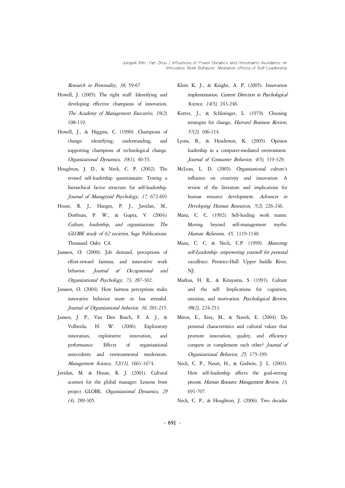### Research in Personality, 38, 59-67

- Howell, J. (2005). The right stuff: Identifying and developing effective champions of innovation. The Academy of Management Executive, 19(2), 108-119.
- Howell, J., & Higgins, C. (1990). Champions of change: identifying, understanding, and supporting champions of technological change. Organizational Dynamics, 19(1), 40-55.
- Houghton, J. D., & Neck, C. P. (2002). The revised self-leadership questionnaire: Testing a hierarchical factor structure for self-leadership. Journal of Managerial Psychology, 17, 672-691
- House, R. J., Hanges, P. J., Javidan, M., Dorfman, P. W., & Gupta, V. (2004). Culture, leadership, and organizations: The GLOBE study of 62 societies, Sage Publications: Thousand Oaks: CA
- Janssen, O. (2000). Job demand, perceptions of effort-reward fairness, and innovative work behavior. Journal of Occupational and Organizational Psychology, 73, 287-302.
- Janssen, O. (2004). How fairness perceptions make innovative behavior more or less stressful. Journal of Organizational behavior, 36, 201-215.
- Jansen, J. P., Van Den Bosch, F. A. J., & Volberda, H. W. (2006). Exploratory innovation, exploitative innovation, and performance: Effects of organizational antecedents and environmental moderators. Management Science, 52(11), 1661-1674.
- Javidan, M. & House, R. J. (2001). Cultural acumen for the global manager: Lessons from project GLOBE. Organizational Dynamics, 29 (4), 289-305.
- Klein K. J., & Knight, A. P. (2005). Innovation implementation. Current Direction in Psychological Science, 14(5), 243-246.
- Kotter, J., & Schlesinger, L. (1979). Choosing strategies for change, Harvard Business Review, 57(2), 106-114.
- Lyons, B., & Henderson, K. (2005). Opinion leadership in a computer-mediated environment. Journal of Consumer Behavior, 4(5), 319-329.
- McLean, L. D. (2005). Organizational culture's influence on creativity and innovation: A review of the literature and implications for human resource development. Advances in Developing Human Resources, 7(2), 226-246.
- Manz, C. C. (1992). Self-leading work teams: Moving beyond self-management myths. Human Relations, 45, 1119-1140.
- Manz, C. C. & Neck, C.P. (1999). Mastering self-Leadership: empowering yourself for personal excellence. Prentice-Hall: Upper Saddle River, NJ.
- Markus, H. R., & Kitayama, S. (1991). Culture and the self: Implications for cognition, emotion, and motivation. Psychological Review, 98(2), 224-253.
- Miron, E., Erez, M., & Naveh, E. (2004). Do personal characteristics and cultural values that promote innovation, quality, and efficiency compete or complement each other? Journal of Organizational Behavior, 25, 175-199.
- Neck, C. P., Nouri, H., & Godwin, J. L. (2003). How self-leadership affects the goal-setting process. Human Resource Management Review, 13, 691-707.
- Neck, C. P., & Houghton, J. (2006). Two decades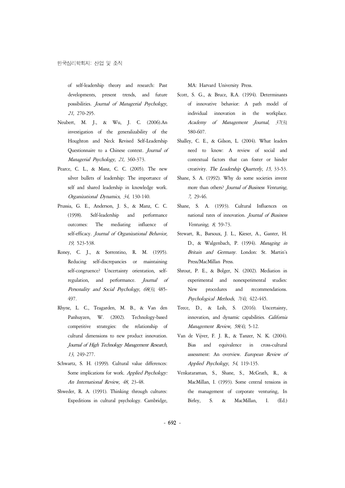of self-leadership theory and research: Past developments, present trends, and future possibilities. Journal of Managerial Psychology, 21, 270-295.

- Neubert, M. J., & Wu, J. C. (2006).An investigation of the generalizability of the Houghton and Neck Revised Self-Leadership Questionnaire to a Chinese context. Journal of Managerial Psychology, 21, 360-373.
- Pearce, C. L., & Manz, C. C. (2005). The new silver bullets of leadership: The importance of self and shared leadership in knowledge work. Organizational Dynamics, 34, 130-140.
- Prussia, G. E., Anderson, J. S., & Manz, C. C. Shane, S. A. (1993). Cultural Influences on (1998). Self-leadership and performance outcomes: The mediating influence of self-efficacy. Journal of Organizational Behavior, 19, 523-538.
- Roney, C. J., & Sorrentino, R. M. (1995). Reducing self-discrepancies or maintaining self-congruence? Uncertainty orientation, selfregulation, and performance. Journal of Personality and Social Psychology, 68(3), 485- 497.
- Rhyne, L. C., Teagarden, M. B., & Van den Panhuyzen, W. (2002). Technology-based competitive strategies: the relationship of cultural dimensions to new product innovation. Journal of High Technology Management Research, 13, 249-277.
- Schwartz, S. H. (1999). Cultural value differences: Some implications for work. Applied Psychology: An International Review, 48, 23-48.
- Shweder, R. A. (1991). Thinking through cultures: Expeditions in cultural psychology. Cambridge,

MA: Harvard University Press.

- Scott, S. G., & Bruce, R.A. (1994). Determinants of innovative behavior: A path model of individual innovation in the workplace. Academy of Management Journal, 37(3), 580-607.
- Shalley, C. E., & Gilson, L. (2004). What leaders need to know: A review of social and contextual factors that can foster or hinder creativity. The Leadership Quarterly, 15, 33-53.
- Shane, S. A. (1992). Why do some societies invent more than others? Journal of Business Venturing, 7, 29-46.
- national rates of innovation. Journal of Business Venturing, 8, 59-73.
- Stewart, R., Barsoux, J. L., Kieser, A., Ganter, H. D., & Walgenbach, P. (1994). Managing in Britain and Germany. London: St. Martin's Press/MacMillan Press.
- Shrout, P. E., & Bolger, N. (2002). Mediation in experimental and nonexperimental studies: New procedures and recommendations. Psychological Methods, 7(4), 422-445.
- Teece, D., & Leih, S. (2016). Uncertainty, innovation, and dynamic capabilities. California Management Review, 58(4), 5-12.
- Van de Vijver, F. J. R., & Tanzer, N. K. (2004). Bias and equivalence in cross-cultural assessment: An overview. European Review of Applied Psychology, 54, 119-135.
- Venkataraman, S., Shane, S., McGrath, R., & MacMillan, I. (1993). Some central tensions in the management of corporate venturing, In Birley, S. & MacMillan, I. (Ed.)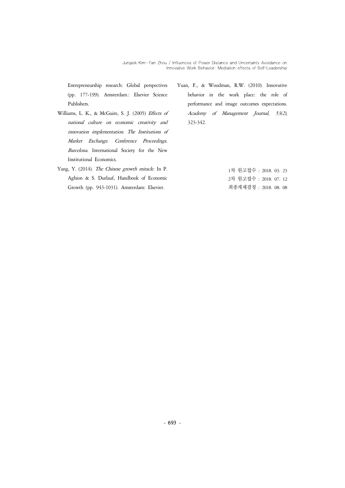Entrepreneurship research: Global perspectives (pp. 177-199). Amsterdam.: Elsevier Science Publishers.

- Williams, L. K., & McGuire, S. J. (2005) Effects of national culture on economic creativity and innovation implementation. The Institutions of Market Exchange. Conference Proceedings. Barcelona. International Society for the New Institutional Economics.
- Yang, Y. (2014). The Chinese growth miracle. In P. Aghion & S. Durlauf, Handbook of Economic Growth (pp. 943-1031). Amsterdam: Elsevier.
- Yuan, F., & Woodman, R.W. (2010). Innovative behavior in the work place: the role of performance and image outcomes expectations. Academy of Management Journal, 53(2), 323-342.

1차 원고접수 : 2018. 03. 23 2차 원고접수 : 2018. 07. 12 최종게재결정 : 2018. 08. 08